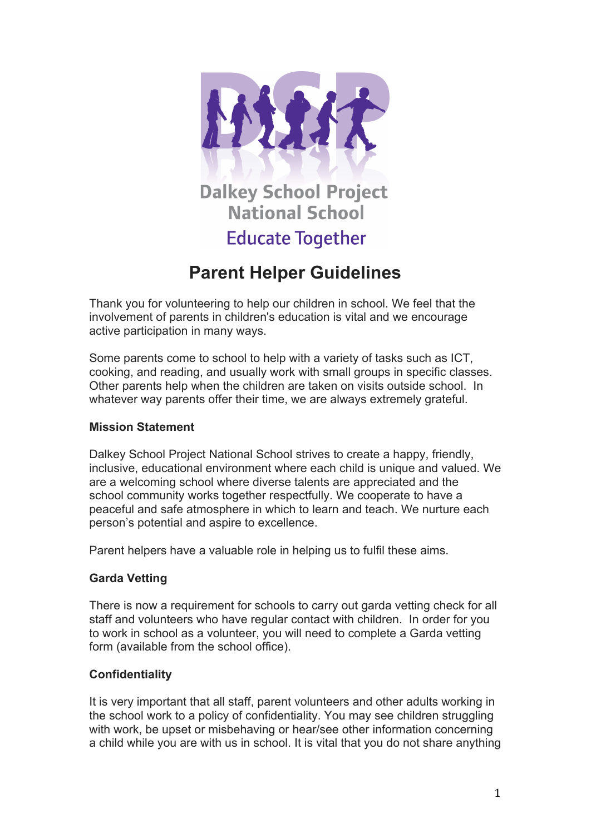

# **Dalkey School Project National School**

## **Educate Together**

## **Parent Helper Guidelines**

Thank you for volunteering to help our children in school. We feel that the involvement of parents in children's education is vital and we encourage active participation in many ways.

Some parents come to school to help with a variety of tasks such as ICT, cooking, and reading, and usually work with small groups in specific classes. Other parents help when the children are taken on visits outside school. In whatever way parents offer their time, we are always extremely grateful.

### **Mission Statement**

Dalkey School Project National School strives to create a happy, friendly, inclusive, educational environment where each child is unique and valued. We are a welcoming school where diverse talents are appreciated and the school community works together respectfully. We cooperate to have a peaceful and safe atmosphere in which to learn and teach. We nurture each person's potential and aspire to excellence.

Parent helpers have a valuable role in helping us to fulfil these aims.

## **Garda Vetting**

There is now a requirement for schools to carry out garda vetting check for all staff and volunteers who have regular contact with children. In order for you to work in school as a volunteer, you will need to complete a Garda vetting form (available from the school office).

## **Confidentiality**

It is very important that all staff, parent volunteers and other adults working in the school work to a policy of confidentiality. You may see children struggling with work, be upset or misbehaving or hear/see other information concerning a child while you are with us in school. It is vital that you do not share anything